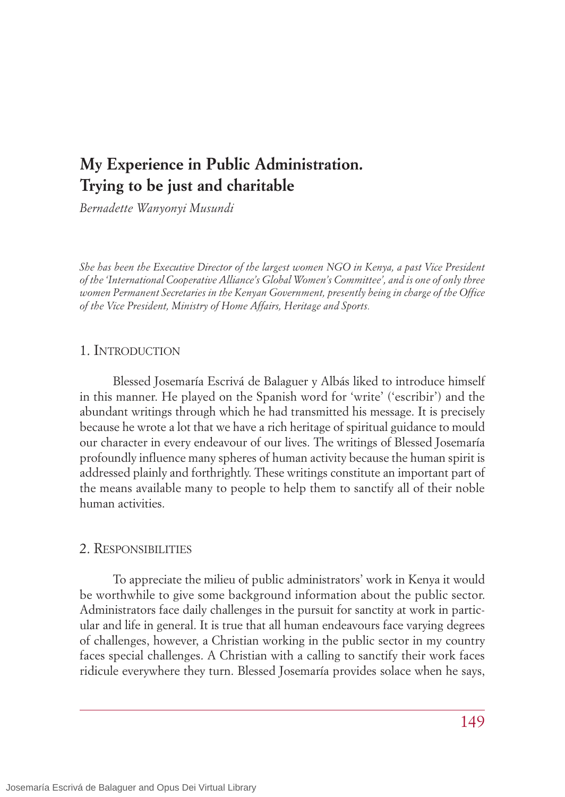# **My Experience in Public Administration. Trying to be just and charitable**

*Bernadette Wanyonyi Musundi*

*She has been the Executive Director of the largest women NGO in Kenya, a past Vice President of the 'International Cooperative Alliance's Global Women's Committee', and is one of only three women Permanent Secretaries in the Kenyan Government, presently being in charge of the Office of the Vice President, Ministry of Home Affairs, Heritage and Sports.*

# 1. INTRODUCTION

Blessed Josemaría Escrivá de Balaguer y Albás liked to introduce himself in this manner. He played on the Spanish word for 'write' ('escribir') and the abundant writings through which he had transmitted his message. It is precisely because he wrote a lot that we have a rich heritage of spiritual guidance to mould our character in every endeavour of our lives. The writings of Blessed Josemaría profoundly influence many spheres of human activity because the human spirit is addressed plainly and forthrightly. These writings constitute an important part of the means available many to people to help them to sanctify all of their noble human activities.

## 2. RESPONSIBILITIES

To appreciate the milieu of public administrators' work in Kenya it would be worthwhile to give some background information about the public sector. Administrators face daily challenges in the pursuit for sanctity at work in particular and life in general. It is true that all human endeavours face varying degrees of challenges, however, a Christian working in the public sector in my country faces special challenges. A Christian with a calling to sanctify their work faces ridicule everywhere they turn. Blessed Josemaría provides solace when he says,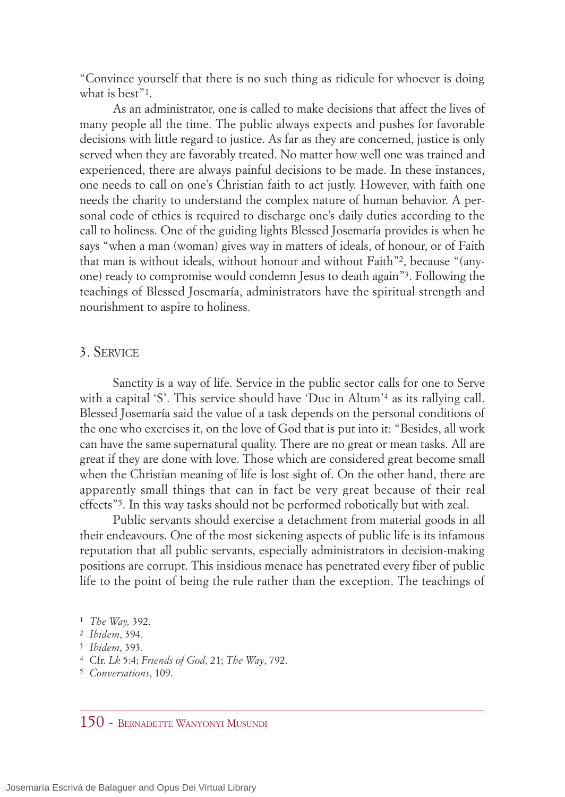"Convince yourself that there is no such thing as ridicule for whoever is doing what is best"<sup>1</sup>.

As an administrator, one is called to make decisions that affect the lives of many people all the time. The public always expects and pushes for favorable decisions with little regard to justice. As far as they are concerned, justice is only served when they are favorably treated. No matter how well one was trained and experienced, there are always painful decisions to be made. In these instances, one needs to call on one's Christian faith to act justly. However, with faith one needs the charity to understand the complex nature of human behavior. A personal code of ethics is required to discharge one's daily duties according to the call to holiness. One of the guiding lights Blessed Josemaría provides is when he says "when a man (woman) gives way in matters of ideals, of honour, or of Faith that man is without ideals, without honour and without Faith"2, because "(anyone) ready to compromise would condemn Jesus to death again"3. Following the teachings of Blessed Josemaría, administrators have the spiritual strength and nourishment to aspire to holiness.

# 3. SERVICE

Sanctity is a way of life. Service in the public sector calls for one to Serve with a capital 'S'. This service should have 'Duc in Altum'<sup>4</sup> as its rallying call. Blessed Josemaría said the value of a task depends on the personal conditions of the one who exercises it, on the love of God that is put into it: "Besides, all work can have the same supernatural quality. There are no great or mean tasks. All are great if they are done with love. Those which are considered great become small when the Christian meaning of life is lost sight of. On the other hand, there are apparently small things that can in fact be very great because of their real effects"5. In this way tasks should not be performed robotically but with zeal.

Public servants should exercise a detachment from material goods in all their endeavours. One of the most sickening aspects of public life is its infamous reputation that all public servants, especially administrators in decision-making positions are corrupt. This insidious menace has penetrated every fiber of public life to the point of being the rule rather than the exception. The teachings of

<sup>1</sup> *The Way,* 392.

<sup>2</sup> *Ibidem*, 394.

<sup>3</sup> *Ibidem*, 393.

<sup>4</sup> Cfr. *Lk* 5:4; *Friends of God*, 21; *The Way*, 792.

<sup>5</sup> *Conversations*, 109.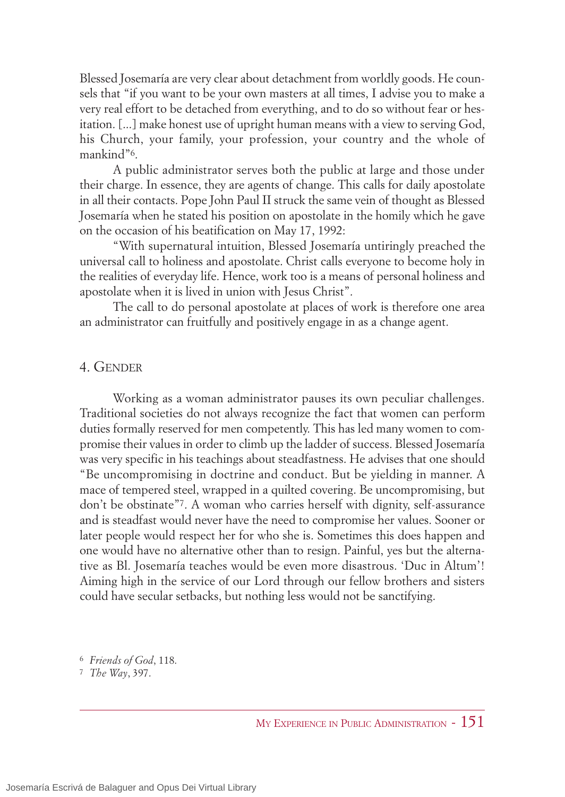Blessed Josemaría are very clear about detachment from worldly goods. He counsels that "if you want to be your own masters at all times, I advise you to make a very real effort to be detached from everything, and to do so without fear or hesitation. [...] make honest use of upright human means with a view to serving God, his Church, your family, your profession, your country and the whole of mankind"6.

A public administrator serves both the public at large and those under their charge. In essence, they are agents of change. This calls for daily apostolate in all their contacts. Pope John Paul II struck the same vein of thought as Blessed Josemaría when he stated his position on apostolate in the homily which he gave on the occasion of his beatification on May 17, 1992:

"With supernatural intuition, Blessed Josemaría untiringly preached the universal call to holiness and apostolate. Christ calls everyone to become holy in the realities of everyday life. Hence, work too is a means of personal holiness and apostolate when it is lived in union with Jesus Christ".

The call to do personal apostolate at places of work is therefore one area an administrator can fruitfully and positively engage in as a change agent.

#### 4. GENDER

Working as a woman administrator pauses its own peculiar challenges. Traditional societies do not always recognize the fact that women can perform duties formally reserved for men competently. This has led many women to compromise their values in order to climb up the ladder of success. Blessed Josemaría was very specific in his teachings about steadfastness. He advises that one should "Be uncompromising in doctrine and conduct. But be yielding in manner. A mace of tempered steel, wrapped in a quilted covering. Be uncompromising, but don't be obstinate"7. A woman who carries herself with dignity, self-assurance and is steadfast would never have the need to compromise her values. Sooner or later people would respect her for who she is. Sometimes this does happen and one would have no alternative other than to resign. Painful, yes but the alternative as Bl. Josemaría teaches would be even more disastrous. 'Duc in Altum'! Aiming high in the service of our Lord through our fellow brothers and sisters could have secular setbacks, but nothing less would not be sanctifying.

6 *Friends of God*, 118.

7 *The Way*, 397.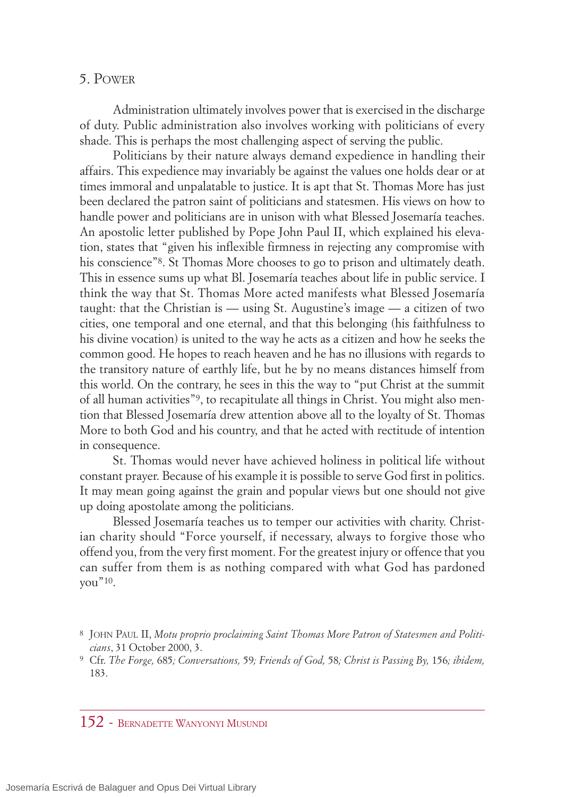## 5. POWER

Administration ultimately involves power that is exercised in the discharge of duty. Public administration also involves working with politicians of every shade. This is perhaps the most challenging aspect of serving the public.

Politicians by their nature always demand expedience in handling their affairs. This expedience may invariably be against the values one holds dear or at times immoral and unpalatable to justice. It is apt that St. Thomas More has just been declared the patron saint of politicians and statesmen. His views on how to handle power and politicians are in unison with what Blessed Josemaría teaches. An apostolic letter published by Pope John Paul II, which explained his elevation, states that "given his inflexible firmness in rejecting any compromise with his conscience"<sup>8</sup>. St Thomas More chooses to go to prison and ultimately death. This in essence sums up what Bl. Josemaría teaches about life in public service. I think the way that St. Thomas More acted manifests what Blessed Josemaría taught: that the Christian is — using St. Augustine's image — a citizen of two cities, one temporal and one eternal, and that this belonging (his faithfulness to his divine vocation) is united to the way he acts as a citizen and how he seeks the common good. He hopes to reach heaven and he has no illusions with regards to the transitory nature of earthly life, but he by no means distances himself from this world. On the contrary, he sees in this the way to "put Christ at the summit of all human activities"9, to recapitulate all things in Christ. You might also mention that Blessed Josemaría drew attention above all to the loyalty of St. Thomas More to both God and his country, and that he acted with rectitude of intention in consequence.

St. Thomas would never have achieved holiness in political life without constant prayer. Because of his example it is possible to serve God first in politics. It may mean going against the grain and popular views but one should not give up doing apostolate among the politicians.

Blessed Josemaría teaches us to temper our activities with charity. Christian charity should "Force yourself, if necessary, always to forgive those who offend you, from the very first moment. For the greatest injury or offence that you can suffer from them is as nothing compared with what God has pardoned you"10.

# 152 - BERNADETTE WANYONYI MUSUNDI

<sup>8</sup> JOHN PAUL II, *Motu proprio proclaiming Saint Thomas More Patron of Statesmen and Politicians*, 31 October 2000, 3.

<sup>9</sup> Cfr. *The Forge,* 685*; Conversations,* 59*; Friends of God,* 58*; Christ is Passing By,* 156*; ibidem,* 183.